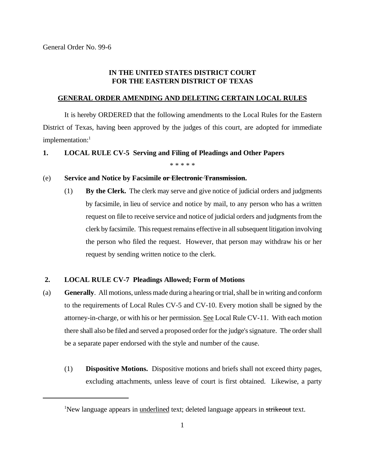# **IN THE UNITED STATES DISTRICT COURT FOR THE EASTERN DISTRICT OF TEXAS**

### **GENERAL ORDER AMENDING AND DELETING CERTAIN LOCAL RULES**

It is hereby ORDERED that the following amendments to the Local Rules for the Eastern District of Texas, having been approved by the judges of this court, are adopted for immediate implementation:<sup>1</sup>

#### **1. LOCAL RULE CV-5 Serving and Filing of Pleadings and Other Papers**

\* \* \* \* \*

## (e) **Service and Notice by Facsimile or Electronic Transmission.**

(1) **By the Clerk.** The clerk may serve and give notice of judicial orders and judgments by facsimile, in lieu of service and notice by mail, to any person who has a written request on file to receive service and notice of judicial orders and judgmentsfrom the clerk by facsimile. This request remains effective in all subsequent litigation involving the person who filed the request. However, that person may withdraw his or her request by sending written notice to the clerk.

# **2. LOCAL RULE CV-7 Pleadings Allowed; Form of Motions**

- (a) **Generally**. All motions, unless made during a hearing or trial, shall be in writing and conform to the requirements of Local Rules CV-5 and CV-10. Every motion shall be signed by the attorney-in-charge, or with his or her permission. See Local Rule CV-11. With each motion there shall also be filed and served a proposed order for the judge's signature. The order shall be a separate paper endorsed with the style and number of the cause.
	- (1) **Dispositive Motions.** Dispositive motions and briefs shall not exceed thirty pages, excluding attachments, unless leave of court is first obtained. Likewise, a party

<sup>&</sup>lt;sup>1</sup>New language appears in underlined text; deleted language appears in strikeout text.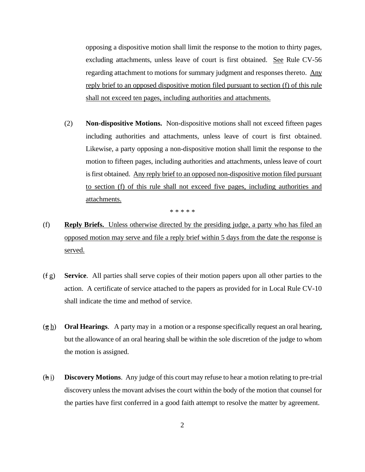opposing a dispositive motion shall limit the response to the motion to thirty pages, excluding attachments, unless leave of court is first obtained. See Rule CV-56 regarding attachment to motions for summary judgment and responses thereto. Any reply brief to an opposed dispositive motion filed pursuant to section (f) of this rule shall not exceed ten pages, including authorities and attachments.

(2) **Non-dispositive Motions.** Non-dispositive motions shall not exceed fifteen pages including authorities and attachments, unless leave of court is first obtained. Likewise, a party opposing a non-dispositive motion shall limit the response to the motion to fifteen pages, including authorities and attachments, unless leave of court isfirst obtained. Any reply brief to an opposed non-dispositive motion filed pursuant to section (f) of this rule shall not exceed five pages, including authorities and attachments.

\* \* \* \* \*

- (f) **Reply Briefs.** Unless otherwise directed by the presiding judge, a party who has filed an opposed motion may serve and file a reply brief within 5 days from the date the response is served.
- (f g) **Service**. All parties shall serve copies of their motion papers upon all other parties to the action. A certificate of service attached to the papers as provided for in Local Rule CV-10 shall indicate the time and method of service.
- (g h) **Oral Hearings**. A party may in a motion or a response specifically request an oral hearing, but the allowance of an oral hearing shall be within the sole discretion of the judge to whom the motion is assigned.
- (h i) **Discovery Motions**. Any judge of this court may refuse to hear a motion relating to pre-trial discovery unless the movant advises the court within the body of the motion that counsel for the parties have first conferred in a good faith attempt to resolve the matter by agreement.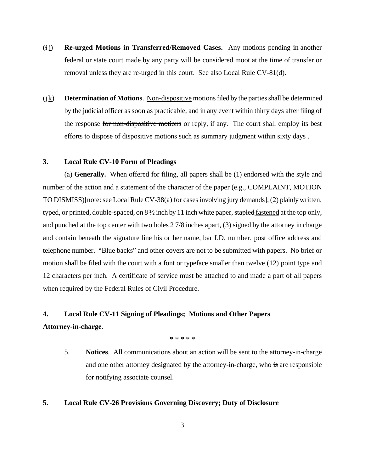- (i j) **Re-urged Motions in Transferred/Removed Cases.** Any motions pending in another federal or state court made by any party will be considered moot at the time of transfer or removal unless they are re-urged in this court. See also Local Rule CV-81(d).
- $(j_k)$  **Determination of Motions**. Non-dispositive motions filed by the parties shall be determined by the judicial officer assoon as practicable, and in any event within thirty days after filing of the response for non-dispositive motions or reply, if any. The court shall employ its best efforts to dispose of dispositive motions such as summary judgment within sixty days .

# **3. Local Rule CV-10 Form of Pleadings**

(a) **Generally.** When offered for filing, all papers shall be (1) endorsed with the style and number of the action and a statement of the character of the paper (e.g., COMPLAINT, MOTION TO DISMISS)[note: see Local Rule CV-38(a) for cases involving jury demands], (2) plainly written, typed, or printed, double-spaced, on  $8\frac{1}{2}$  inch by 11 inch white paper, stapled fastened at the top only, and punched at the top center with two holes 2 7/8 inches apart, (3) signed by the attorney in charge and contain beneath the signature line his or her name, bar I.D. number, post office address and telephone number. "Blue backs" and other covers are not to be submitted with papers. No brief or motion shall be filed with the court with a font or typeface smaller than twelve (12) point type and 12 characters per inch. A certificate of service must be attached to and made a part of all papers when required by the Federal Rules of Civil Procedure.

# **4. Local Rule CV-11 Signing of Pleadings; Motions and Other Papers**

## **Attorney-in-charge**.

\* \* \* \* \*

5. **Notices**. All communications about an action will be sent to the attorney-in-charge and one other attorney designated by the attorney-in-charge, who is are responsible for notifying associate counsel.

# **5. Local Rule CV-26 Provisions Governing Discovery; Duty of Disclosure**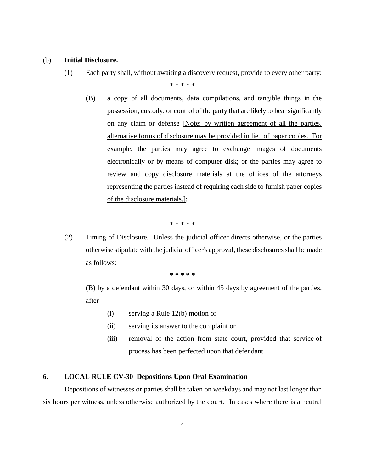#### (b) **Initial Disclosure.**

- (1) Each party shall, without awaiting a discovery request, provide to every other party: \* \* \* \* \*
	- (B) a copy of all documents, data compilations, and tangible things in the possession, custody, or control of the party that are likely to bearsignificantly on any claim or defense [Note: by written agreement of all the parties, alternative forms of disclosure may be provided in lieu of paper copies. For example, the parties may agree to exchange images of documents electronically or by means of computer disk; or the parties may agree to review and copy disclosure materials at the offices of the attorneys representing the parties instead of requiring each side to furnish paper copies of the disclosure materials.];

\* \* \* \* \*

(2) Timing of Disclosure. Unless the judicial officer directs otherwise, or the parties otherwise stipulate with the judicial officer's approval, these disclosuresshall bemade as follows:

**\* \* \* \* \***

(B) by a defendant within 30 days, or within 45 days by agreement of the parties, after

- (i) serving a Rule 12(b) motion or
- (ii) serving its answer to the complaint or
- (iii) removal of the action from state court, provided that service of process has been perfected upon that defendant

# **6. LOCAL RULE CV-30 Depositions Upon Oral Examination**

Depositions of witnesses or parties shall be taken on weekdays and may not last longer than six hours per witness, unless otherwise authorized by the court. In cases where there is a neutral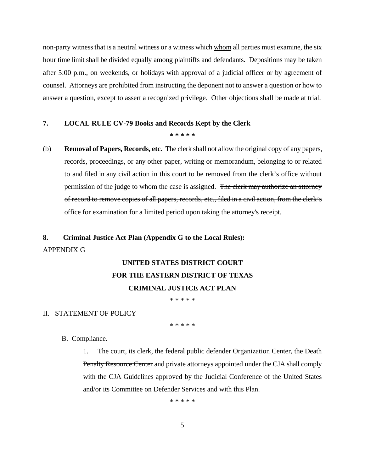non-party witness that is a neutral witness or a witness which whom all parties must examine, the six hour time limit shall be divided equally among plaintiffs and defendants. Depositions may be taken after 5:00 p.m., on weekends, or holidays with approval of a judicial officer or by agreement of counsel. Attorneys are prohibited from instructing the deponent not to answer a question or how to answer a question, except to assert a recognized privilege. Other objections shall be made at trial.

#### **7. LOCAL RULE CV-79 Books and Records Kept by the Clerk**

#### **\* \* \* \* \***

(b) **Removal of Papers, Records, etc.** The clerk shall not allow the original copy of any papers, records, proceedings, or any other paper, writing or memorandum, belonging to or related to and filed in any civil action in this court to be removed from the clerk's office without permission of the judge to whom the case is assigned. The clerk may authorize an attorney of record to remove copies of all papers, records, etc., filed in a civil action, from the clerk's office for examination for a limited period upon taking the attorney's receipt.

# **8. Criminal Justice Act Plan (Appendix G to the Local Rules):** APPENDIX G

# **UNITED STATES DISTRICT COURT FOR THE EASTERN DISTRICT OF TEXAS CRIMINAL JUSTICE ACT PLAN**

\* \* \* \* \*

# II. STATEMENT OF POLICY

\* \* \* \* \*

- B. Compliance.
	- 1. The court, its clerk, the federal public defender Organization Center, the Death Penalty Resource Center and private attorneys appointed under the CJA shall comply with the CJA Guidelines approved by the Judicial Conference of the United States and/or its Committee on Defender Services and with this Plan.

\* \* \* \* \*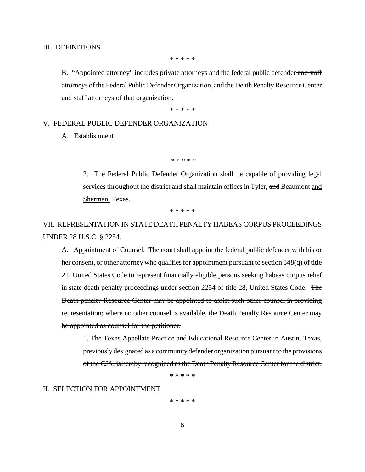#### III. DEFINITIONS

\* \* \* \* \*

B. "Appointed attorney" includes private attorneys and the federal public defender and staff attorneys of the Federal Public Defender Organization, and the Death Penalty Resource Center and staff attorneys of that organization.

\* \* \* \* \*

#### V. FEDERAL PUBLIC DEFENDER ORGANIZATION

## A. Establishment

\* \* \* \* \*

2. The Federal Public Defender Organization shall be capable of providing legal services throughout the district and shall maintain offices in Tyler, and Beaumont and Sherman, Texas.

\* \* \* \* \*

VII. REPRESENTATION IN STATE DEATH PENALTY HABEAS CORPUS PROCEEDINGS UNDER 28 U.S.C. § 2254.

A. Appointment of Counsel. The court shall appoint the federal public defender with his or her consent, or other attorney who qualifies for appointment pursuant to section 848(q) of title 21, United States Code to represent financially eligible persons seeking habeas corpus relief in state death penalty proceedings under section 2254 of title 28, United States Code. The Death penalty Resource Center may be appointed to assist such other counsel in providing representation; where no other counsel is available, the Death Penalty Resource Center may be appointed as counsel for the petitioner.

1. The Texas Appellate Practice and Educational Resource Center in Austin, Texas, previously designated as a community defender organization pursuant to the provisions of the CJA, is hereby recognized asthe Death Penalty Resource Center for the district.

\* \* \* \* \*

II. SELECTION FOR APPOINTMENT

\* \* \* \* \*